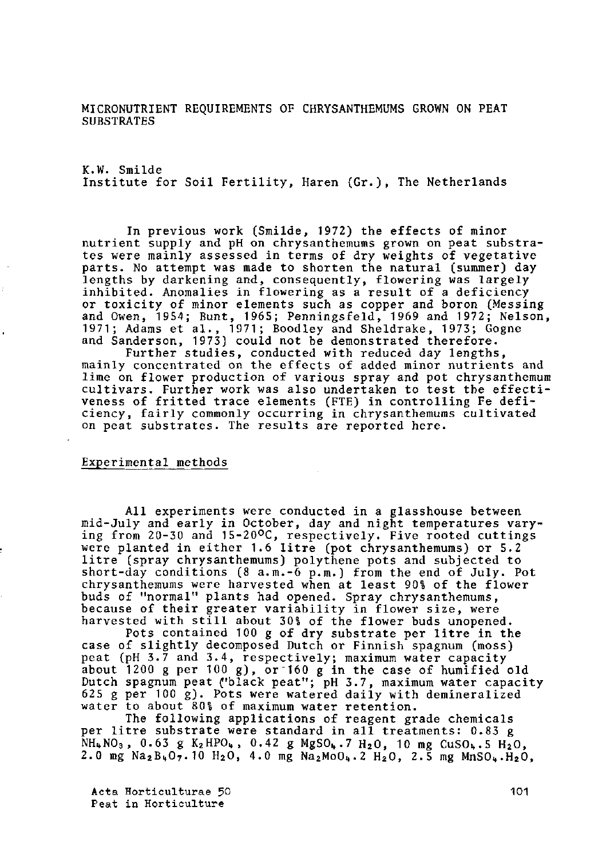MICRONUTRIENT REQUIREMENTS OF CHRYSANTHEMUMS GROWN ON PEAT **SUBSTRATES** 

K.W. Smilde Institute for Soil Fertility, Haren (Gr.), The Netherlands

In previous work (Smilde, 1972) the effects of minor nutrient supply and pH on chrysanthemums grown on peat substrates were mainly assessed in terms of dry weights of vegetative parts. No attempt was made to shorten the natural (summer) day lengths by darkening and, consequently, flowering was inhibited. Anomalies in flowering as a result of a  $\acute{\rm{c}}$ or toxicity of minor elements such as copper and boron (Messing and Owen, 19S4; Bunt, 1965; Penningsfeld, 1969 and 1972; Nelson, 1971; Adams et al., 1971; Boodley and Sheldrake, 1973; Gogne and Sanderson, 1973) could not be demonstrated therefore.

Further studies, conducted with reduced day lengths, mainly concentrated on the effects of added minor nutrients and lime on flower production of various spray and pot chrysanthemum cultivars. Further work was also undertaken to test the veness of fritted trace elements (FTE) in controlling ciency, fairly commonly occurring in chrysanthemums cultivated on peat substrates. The results are reported here.

## Experimental methods

All experiments were conducted in a glasshouse between mid-July and early in October, day and night temperatures varying from 20-30 and 15-20°C, respectively. Five rooted cuttings were planted in either 1.6 litre (pot chrysanthemums) or 5.2 litre (spray chrysanthemums) polythene pots and subje short-day conditions (8 a.m.-6 p.m.) from the end of chrysanthemums were harvested when at least 90% of the flower buds of "normal" plants had opened. Spray chrysant because of their greater variability in flower si harvested with still about 30% of the flower buds unopened.

Pots contained 100 g of dry substrate per litre in the case of slightly decomposed Dutch or Finnish spagnu peat (pH 3.7 and 3.4, respectively; maximum water about 1200 g per 100 g), or 160 g in the case of Dutch spagnum peat ("black peat"; pH 3.7, maximum water 625 g per 100 g). Pots were watered daily with demineralized water to about 80% of maximum water retention.

The following applications of reagent grade chemicals per litre substrate were standard in all treatments: 0.83 g  $NH_{4}$ NO<sub>3</sub>, 0.63 g K<sub>2</sub>HPO<sub>4</sub>, 0.42 g MgSO<sub>4</sub>.7 H<sub>2</sub>O, 10 mg CuSO<sub>4</sub>.5 H<sub>2</sub>O<sub>2</sub> 2.0 mg Na<sub>2</sub>B<sub>4</sub>O<sub>7</sub>.10 H<sub>2</sub>O, 4.0 mg Na<sub>2</sub>MoO<sub>4</sub>.2 H<sub>2</sub>O, 2.5 mg MnSO<sub>4</sub>.H<sub>2</sub>O,

Acta Horticulturae 50 Peat in Horticulture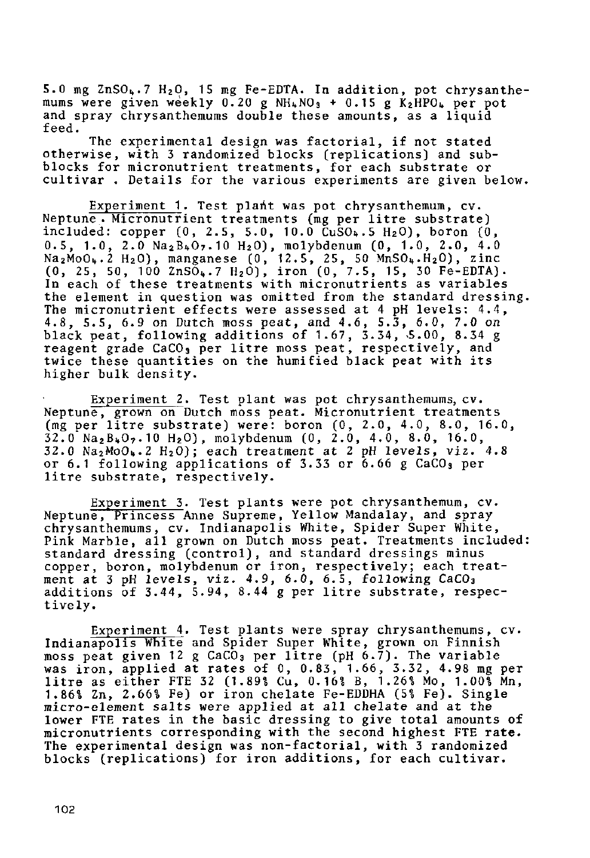5.0 mg ZnSO".7 H20, 15 mg Fe-EDTA. In addition, pot chrysanthemums were given weekly 0.20 g NH $_{4}$ NO $_{3}$  + 0.15 g K $_{2}$ and spray chrysanthemums double these amounts, as a liquid feed.

The experimental design was factorial, if not stated otherwise, with 3 randomized blocks (replications) and subblocks for micronutrient treatments, for each substrate or cultivar . Details for the various experiments are given below.

Experiment 1. Test plant was pot chrysanthemum, cv. Neptune . Micronutrient treatments (mg per litre substrate) included: copper  $(0, 2.5, 5.0, 10.0 \text{ CuSO}_4.5 H_2 0)$ , boron  $(0,$  $0.5$ , 1.0, 2.0  $Na<sub>2</sub>B<sub>4</sub>O<sub>7</sub>$ .10 H<sub>2</sub>0 ), molybdenum (0, 1.0,  ${\rm Na}_2$ MoO $_{\rm h}$ .2 H2O), manganese (0, 12.5, 25, 50 MnSO $_{\rm h}$ .H<sub>2</sub> (0, 25, 50, 100 ZnSÕ..7 H2Ô), iron (0, 7.5, 15, 3 In each of these treatments with micronutrients as variables the element in question was omitted from the standard The micronutrient effects were assessed at 4 pH lev 4.8, 5.5, 6.9 on Dutch moss peat, and 4.6, 5.3, 6.0, 7.0 on black peat, following additions of 1.67, 3.34, 5.00, 8.34 g reagent grade CaCO, per litre moss peat, respectiv twice these quantities on the humified black peat higher bulk density.

Experiment 2. Test plant was pot chrysanthem Neptune, grown on Dutch moss peat. Micronutrient tre (mg per litre substrate) were: boron (0, 2.0, 4.0, 8.0, 16.0,  $32.0$  Na<sub>2</sub>B<sub>4</sub>O<sub>7</sub>.10 H<sub>2</sub>O), molybdenum (0, 2.0, 4.0, 8.0, 16.0,  $32.0$  Na<sub>2</sub>MoO<sub>b</sub>.2 H<sub>2</sub>O); each treatment at 2 pH level or 6.1 following applications of 3.33 or  $\bar{6.66}$  g litre substrate, respectively.

Experiment 3. Test plants were pot chrysanthem Neptun<del>e, Princess Anne Supreme, Yellow Mandalay, an</del> chrysanthemums, cv. Indianapolis White, Spider Super White, Pink Marble, all grown on Dutch moss peat. Treatments included: standard dressing (control), and standard dressings copper, boron, molybdenum or iron, respectively; each ment at 3 pH levels, viz. 4.9, 6.0, 6.5, following CaCO<sub>3</sub> additions of 3.44, 5.94, 8.44 g per litre substrate, respectively.

Experiment 4. Test plants were spray chrysanthemums, cv. Indianapolis White and Spider Super White, grown on Finnish moss peat given 12 g CaCO<sub>3</sub> per litre (pH 6.7). The variable was iron, applied at rates of  $0$ ,  $0.83$ ,  $1.66$ ,  $3.32$ . litre as either FTE 32 (1.89% Cu, 0.16% B, 1.26% M 1.86% Zn, 2.66% Fe) or iron chelate Fe-EDDHA (5% Fe). Single micro-element salts were applied at all chelate and at the lower FTE rates in the basic dressing to give total amounts of micronutrients corresponding with the second highest FTE rate. The experimental design was non-factorial, with 3 randomized blocks (replications) for iron additions, for each cultivar.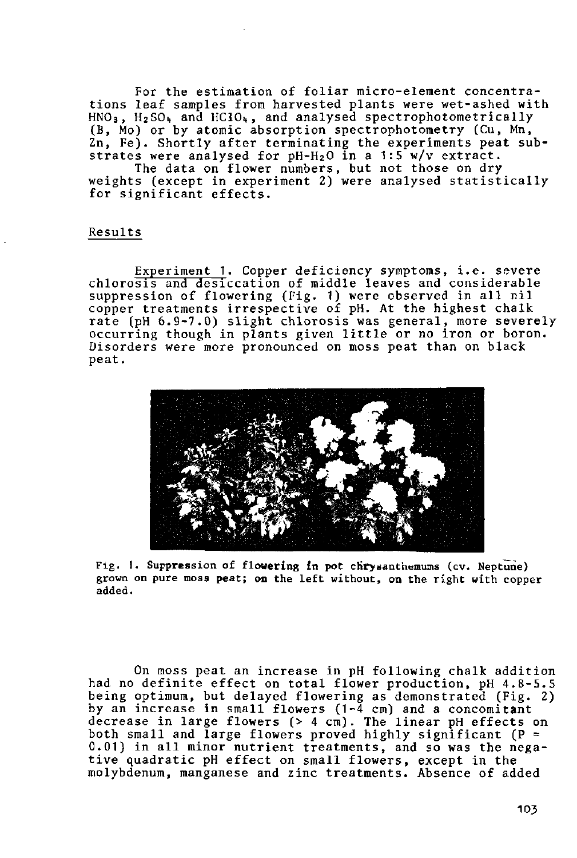For the estimation of foliar micro-element concentrations leaf samples from harvested plants were wet-ashed with  $HNO<sub>3</sub>$ ,  $H<sub>2</sub>SO<sub>4</sub>$  and  $HClO<sub>4</sub>$ , and analysed spectrophotometrically (B, Mo) or by atomic absorption spectrophotometry (Cu, Mn, Zn, Fe). Shortly after terminating the experiments p strates were analysed for  $pH-H_2O$  in a 1:5 w/ $\cdot$ 

The data on flower numbers, but not those on dry weights (except in experiment 2) were analysed statistically for significant effects.

## Results

Experiment 1. Copper deficiency symptoms, i.e. severe chlorosis and desiccation of middle leaves and considerable suppression of flowering (Fig. 1) were observed in all nil copper treatments irrespective of pH. At the highe rate (pH 6.9-7.0) slight chlorosis was general, more occurring though in plants given little or no iron or boron. Disorders were more pronounced on moss peat than on black peat.



Fig. 1. Suppression of flowering in pot chrysanthemums (cv. Neptune) grown on pure moss peat; on the left without, on the right with copper added.

On moss peat an increase in pH following chalk add had no definite effect on total flower production, pH 4.8 being optimum, but delayed flowering as demonstrated (Fig. 2) by an increase in sma decrease in large flow both small and  $\overline{\text{large}}$  f 0.01) in all minor nutrient treatments, and so was the tive quadratic pH effe molybdenum, manganese a owers ( $1-\overline{4}$  cm) and a concom  $($   $>$   $4$   $cm$ ). The linear pH eff rs proved highly significant n small flowers, except i zinc treatments. Absence of a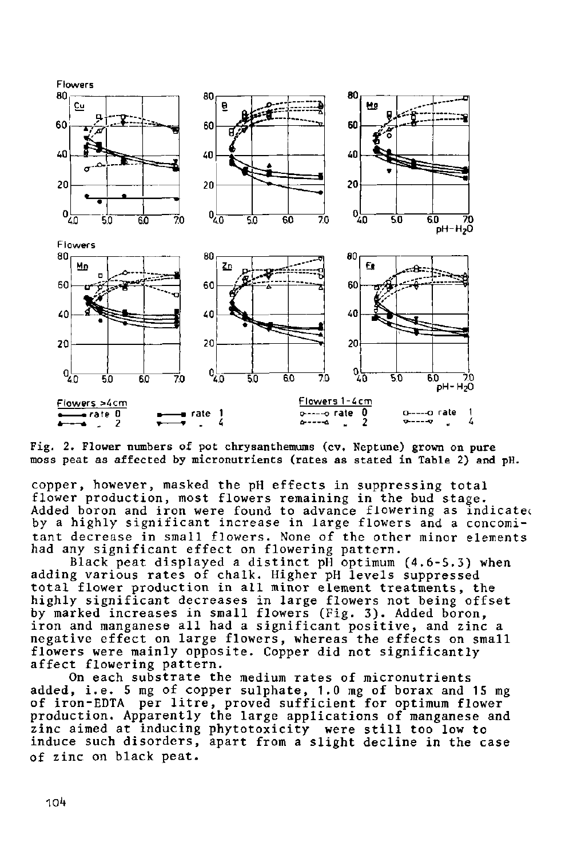

Fig. 2. Flower numbers of pot chrysanthemums (cv. Neptune) grown on pure moss peat as affected by micronutrients (rates as stated in Table 2) and pH.

copper, however, masked the pH effects in suppressing total flower production, most flowers remaining in the bud stage. Added boron and iron were found to advance flowering as indicatec by a highly significant increase in large flowers and a concomitant decrease in small flowers. None of the other minor elements had any significant effect on flowering pa

Black peat displayed a distinct pH optimum (4.6-5 adding various rates of chalk. Higher pH levels suppressed total flower production in all minor element treatments, the highly significant decreases in large flowers not beir by marked increases in small flowers (Fig. 3). Add iron and manganese all had a significant positive, and zinc a negative effect on large flowers, whereas the effects on small flowers were mainly opposite. Copper did not significantly affect flowering pattern.

On each substrate the medium rates of micronutrients added, i.e. 5 mg of copper sulphate, 1.0 mg of bo of iron-EDTA per litre, proved sufficient for optimu production. Apparently the large applications of manganese and zinc aimed at inducing phytotoxicity were still too low to induce such disorders, apart from a slight decline in the case of zinc on black peat.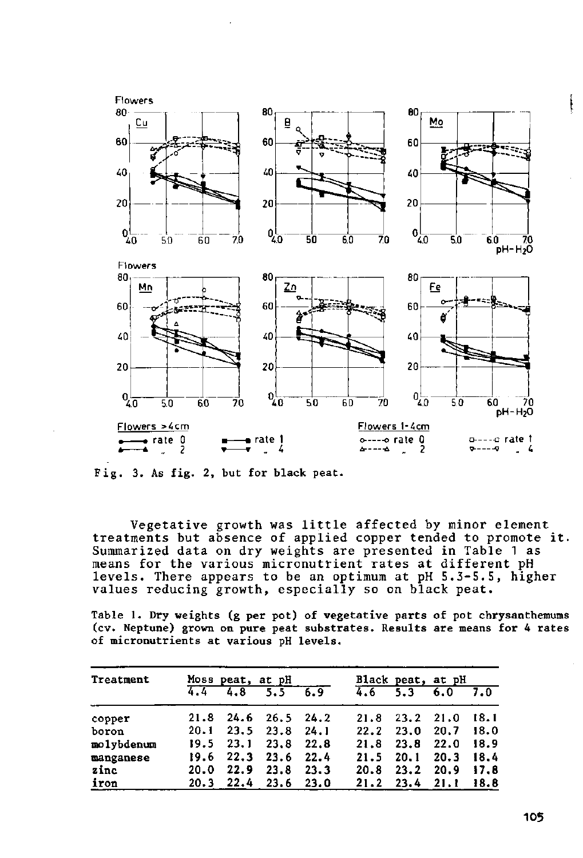

Fig. 3. As fig. 2, but for black peat.

Vegetative growth was little affected by minor element treatments but absence of applied copper tended to promote Summarized data on dry weights are presented in Table means for the various micronutrient rates at different pH levels. There appears to be an optimum at pH 5.3-5.5, higher values reducing growth, especially so on black peat.

Table 1. Dry weights (g per pot) of vegetative parts of pot chrysanthemums (cv. Neptune) grown on pure peat substrates. Results are means for 4 rates of micronutrients at various pH levels.

| Treatment  |      |               | Moss peat, at pH            |      |      | Black peat, at pH |           |      |
|------------|------|---------------|-----------------------------|------|------|-------------------|-----------|------|
|            | 4.4  | 4.8           | 5.5                         | 6.9  | 4.6  | 5.3               | 6.0       | 7.0  |
| copper     |      |               | $21.8$ $24.6$ $26.5$ $24.2$ |      | 21.8 | 23.2              | 21.0      | 18.1 |
| boron      | 20.1 |               | $23.5$ $23.8$ $24.1$        |      | 22.2 | 23.0              | 20.7      | 18.0 |
| molybdenum |      | $19.5$ $23.1$ | 23.8                        | 22.8 | 21.8 | 23.8              | 22.0      | 18.9 |
| manganese  |      |               | 19.6 22.3 23.6 22.4         |      | 21.5 | 20.1              | 20.3      | 18.4 |
| zinc       | 20.0 | 22.9          | 23.8                        | 23.3 | 20.8 | 23.2              | 20.9      | 17.8 |
| iron       |      |               | $20.3$ $22.4$ $23.6$ $23.0$ |      |      | $21.2$ 23.4       | 21.1 18.8 |      |

ĺ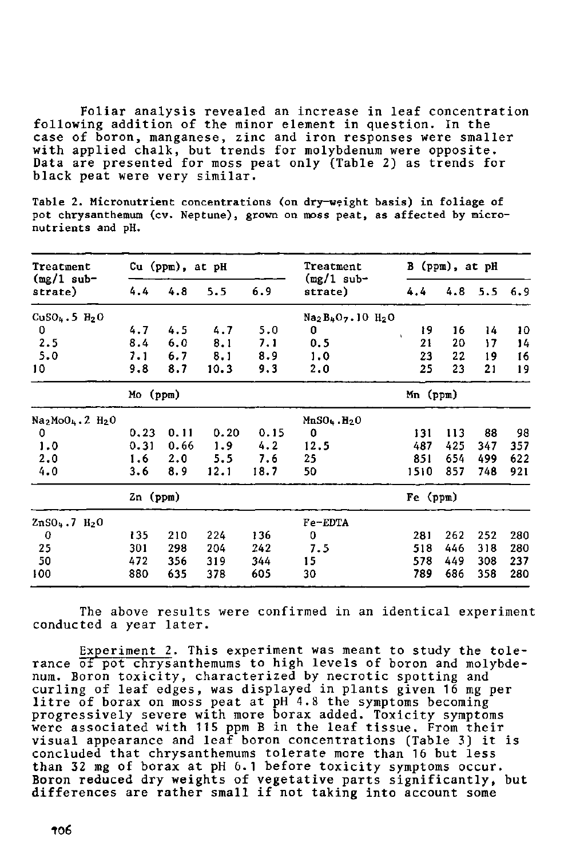Foliar analysis revealed an increase in leaf concentration following addition of the minor element in question. In the case of boron, manganese, zinc and iron responses wer with applied chalk, but trends for molybdenum were o Data are presented for moss peat only (Table 2) as trends for black peat were very similar.

Table 2. Micronutrient concentrations (on dry-wçight basis) in foliage of pot chrysanthemum (cv. Neptune), grown on moss peat, as affected by micronutrients and pH.

| Treatment                                            |            | $Cu$ ( $ppm$ ), at $pH$ |            |      | Treatment                       |                    | B (ppm), at pH |     |     |
|------------------------------------------------------|------------|-------------------------|------------|------|---------------------------------|--------------------|----------------|-----|-----|
| $(mg/1$ sub-<br>strate)                              | 4.4        | 4.8                     | 6.9<br>5.5 |      | $(mg/1$ sub-<br>strate)         | 4.4                | 4.8            | 5.5 | 6.9 |
| $CuSO_4.5 H_2O$                                      |            |                         |            |      | $Na2B4O7$ . 10 H <sub>2</sub> O |                    |                |     |     |
| 0                                                    | 4.7        | 4.5                     | 4.7        | 5.0  | 0                               | 19<br>$\mathbf{r}$ | 16             | 14  | 10  |
| 2.5                                                  | 8.4        | 6.0                     | 8.1        | 7.1  | 0.5                             | 21                 | 20             | 17  | 14  |
| 5.0                                                  | 7.1        | 6.7                     | 8.1        | 8.9  | 1.0                             | 23                 | 22             | 19  | 16  |
| 10                                                   | 9.8        | 8.7                     | 10.3       | 9.3  | 2.0                             | 25                 | 23             | 21  | 19  |
|                                                      | Mo (ppm)   |                         |            |      |                                 | Mn (ppm)           |                |     |     |
| Na <sub>2</sub> MoO <sub>4</sub> .2 H <sub>2</sub> O |            |                         |            |      | $MnSO4$ . $H2O$                 |                    |                |     |     |
| 0                                                    | 0.23       | 0.11                    | 0.20       | 0.15 | 0                               | 131                | 113            | 88  | 98  |
| 1.0                                                  | 0.31       | 0.66                    | 1.9        | 4.2  | 12.5                            | 487                | 425            | 347 | 357 |
| 2.0                                                  | 1.6        | 2.0                     | 5.5        | 7.6  | 25                              | 851                | 654            | 499 | 622 |
| 4.0                                                  | 3.6        | 8.9                     | 12.1       | 18.7 | 50                              | 1510               | 857            | 748 | 921 |
|                                                      | $2n$ (ppm) |                         |            |      |                                 | Fe (ppm)           |                |     |     |
| ZnSO <sub>4</sub> .7 H <sub>2</sub> O                |            |                         |            |      | Fe-EDTA                         |                    |                |     |     |
| 0                                                    | 135        | 210                     | 224        | 136  | 0                               | 281                | 262            | 252 | 280 |
| 25                                                   | 301        | 298                     | 204        | 242  | 7.5                             | 518                | 446            | 318 | 280 |
| 50                                                   | 472        | 356                     | 319        | 344  | 15                              | 578                | 449            | 308 | 237 |
| 100                                                  | 880        | 635                     | 378        | 605  | 30                              | 789                | 686            | 358 | 280 |

The above results were confirmed in an identical experiment conducted a year later.

Experiment 2. This experiment was meant to study the rance <del>of pot chrys</del>anthemums to high levels of boron and mo num. Boron toxicity, characterized by necrotic spotting curling of leaf edges, was displayed in plants given 16 litre of progressiv were asso visual appearance and leaf boron concentrations (Table 3) concluded than 32 Boron red differences are rather small if not taking into account orax on moss p ely severe with iated with 115 that chrysanthemu of borax at p ced dry weights at pH 4.8 the symptoms bec re borax added. Toxicity symp B in the leaf tissue. From s tolerate more than 16 bu 1 before toxicity symptoms oc vegetative parts significantly,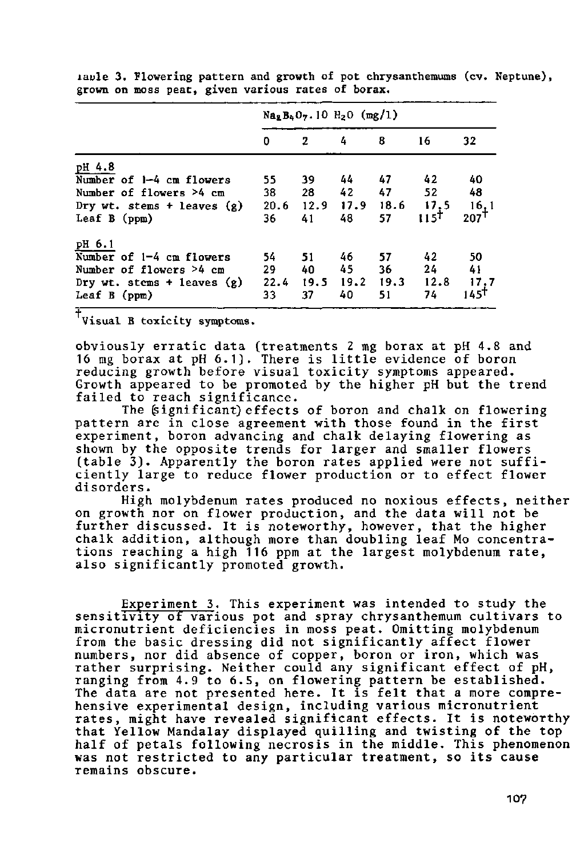|                                |      | $Na2B4O7$ . 10 H <sub>2</sub> O (mg/1) |                      |      |                    |                  |
|--------------------------------|------|----------------------------------------|----------------------|------|--------------------|------------------|
|                                | 0    | $\mathbf{2}$                           | 4                    | 8    | 16                 | 32               |
| pH 4.8                         |      |                                        |                      |      |                    |                  |
| Number of 1-4 cm flowers       | 55   | 39                                     | 44                   | - 47 | 42                 | 40               |
| Number of flowers >4 cm        | 38   | 28                                     | 42                   | 47   | 52                 | 48               |
| Dry wt. stems + leaves $(g)$   | 20.6 |                                        | 12.9 17.9 18.6       |      |                    | 16,1             |
| Leaf $B$ (ppm)                 | 36   | 41                                     | 48                   | 57   | $\frac{17.5}{115}$ | 207 <sup>T</sup> |
| pH 6.1                         |      |                                        |                      |      |                    |                  |
| Number of 1-4 cm flowers       | 54   | 51                                     | 46.                  | 57   | 42                 | 50               |
| Number of flowers >4 cm        | 29   | 40                                     | 45                   | -36  | 24                 | 41               |
| Dry wt. stems $+$ leaves $(g)$ | 22.4 |                                        | $19.5$ $19.2$ $19.3$ |      | 12.8               | 17,7             |
| Leaf B (ppm)                   | 33   | 37                                     | 40                   | 51   | 74                 | 145†             |

laule 3. Flowering pattern and growth of pot chrysanthemums (cv. Neptune), grown on moss peat, given various rates of borax.

Visual B toxicity symptoms.

obviously erratic data (treatments 2 mg borax at pH 4.8 and 16 mg borax at pH  $6.1$ ). There is little eviden reducing growth before visual toxicity symptoms app Growth appeared to be promoted by the higher pH but the trend failed to reach significance.

The (significant) effects of boron and chalk on flowering pattern are in close agreement with those found in experiment, boron advancing and chalk delaying flowe shown by the opposite trends for larger and smaller flowers (table 3). Apparently the boron rates applied were not sufficiently large to reduce flower production or to effect flower disorders.

High molybdenum rates produced no noxious effects, neither on growth nor on flower production, and the data further discussed. It is noteworthy, however, that th chalk addition, although more than doubling leaf Mo concentrations reaching **a** high **116** ppm at the largest molybdenum rate, also significantly promoted growth.

Experiment 3. This experiment was intended to study the sensitivity of various pot and spray chrysanthemum cultivars to micronutrient deficiencies in moss peat. Omitting molybdenum from the basic dressing did not significantly affect flower numbers, nor did absence of copper, boron or iron, which was rather surprising. Neither could any significant effect of pH, ranging from 4.9 to 6.5, on flowering pattern be est The data are not presented here. It is felt that a hensive experimental design, including various micronutrient rates, might have revealed significant effects. It is noteworthy that Yellow Mandalay displayed quilling and twisting of the top half of petals following necrosis in the **middle. This phenomenon was not** restricted **to** any **particular treatment,** so **its cause**  remains obscure.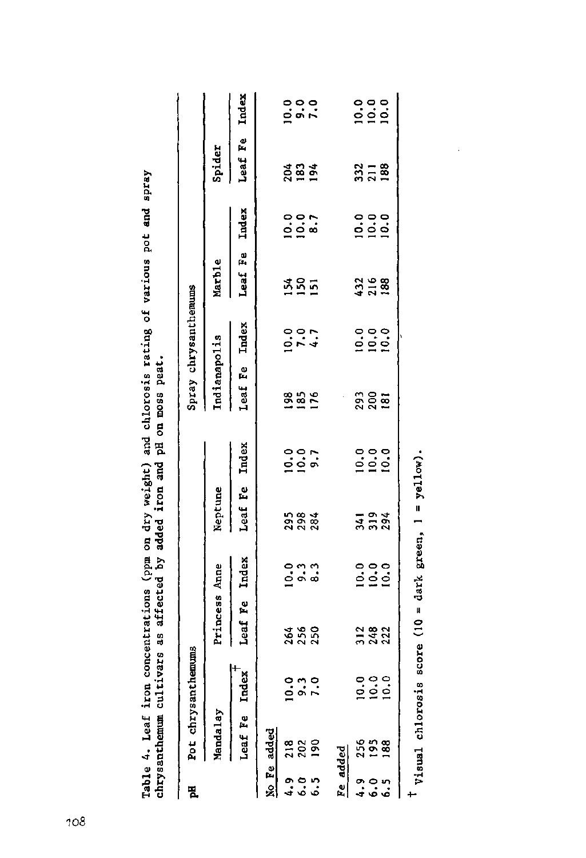| 된 |             | Pot chrysanthemums                                    |               |                                                        |                  |                  |               | Spray chrysanthemums                      |                   |                                           |                                           |               |
|---|-------------|-------------------------------------------------------|---------------|--------------------------------------------------------|------------------|------------------|---------------|-------------------------------------------|-------------------|-------------------------------------------|-------------------------------------------|---------------|
|   | Mandalay    |                                                       | Princess Anne |                                                        | Neptune          |                  | Indianapolis  |                                           | Marble            |                                           |                                           |               |
|   | Leaf Fe     | $_{\rm redex}$                                        | Leaf Fe Index |                                                        | Leaf Fe Index    |                  | Leaf Fe Index |                                           | Leaf Fe           | Index                                     | Spider<br>Leaf Fe Index                   |               |
|   | No Fe added |                                                       |               |                                                        |                  |                  |               |                                           |                   |                                           |                                           |               |
|   |             |                                                       |               |                                                        |                  |                  |               |                                           |                   |                                           |                                           |               |
| Ĕ | $\tilde{z}$ | $\begin{array}{c} 0 & n & 0 \\ 0 & n & n \end{array}$ | 256<br>256    | ဝ၈၈<br>ဝေ့စစ်                                          | 2984<br>284      | $0.07$<br>$0.07$ | <b>18575</b>  |                                           | <b>385</b>        | $rac{1}{2}$<br>$rac{1}{2}$ $rac{1}{2}$    | 894                                       | $\frac{1}{2}$ |
|   |             |                                                       |               |                                                        |                  |                  |               |                                           |                   |                                           |                                           |               |
|   | e added     |                                                       |               |                                                        |                  |                  |               |                                           |                   |                                           |                                           |               |
|   |             |                                                       |               |                                                        |                  |                  |               |                                           |                   |                                           |                                           |               |
|   | ő,          | ಂ೦೦<br>ರಂ೦                                            | 31822<br>2322 | $\begin{array}{c}\n0 \\ 0 \\ 0 \\ 0 \\ 0\n\end{array}$ | $3.34$<br>$3.34$ |                  | 3<br>200      | $rac{0}{2}$<br>$rac{0}{2}$<br>$rac{0}{2}$ | 432<br>216<br>188 | $rac{1}{2}$<br>$rac{1}{2}$<br>$rac{1}{2}$ | $\frac{2}{3}$ $\frac{1}{1}$ $\frac{8}{8}$ | $rac{1}{2}$   |
|   | æ           |                                                       |               |                                                        |                  |                  |               |                                           |                   |                                           |                                           |               |
|   |             |                                                       |               |                                                        |                  |                  |               |                                           |                   |                                           |                                           |               |

**>, \* u a. m •o**  e **« •u 1 arious > «4-1 O 00**  and chlorosis ratin<br>pH on moss peat. *Ary* **weight)<br><b>ded** iron and **fi -ö O tO** 0 >> **a J3 o . N t 3 tu to 4J fi O O <U • H IH 4J M-) tO 10 CONCENTI**<br> **U** tvars as a <-> **O i-I u 3 •H O tu a** Table 4. Lea<br>chrysanthemu

**~-•\*** c **ai ai M 00 Ai M tO •o u b score** (10  $\frac{1}{2}$ **i—1 tO 3 to • H > •4 -**

**/-N •**

**yellow**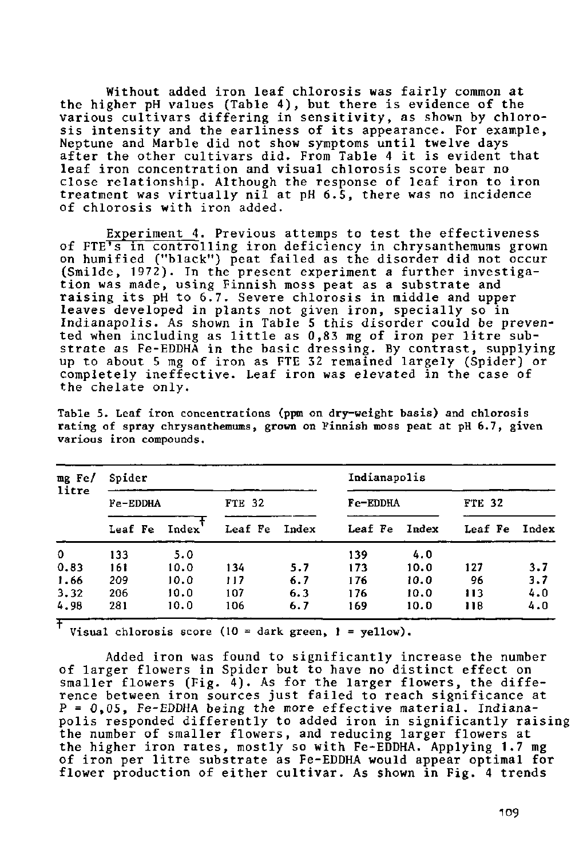Without added iron leaf chlorosis was fairly common the higher pH values (Table 4), but there is evidence of t various cultivars differing in sensitivity, as shown by chlo sis intensity and the earliness of its appearance. For exampl Neptune and Marble did not after the other cultivars leaf iron concentration and visual chlorosis score bear close relationship. Although the response of leaf iron to i treatment was virtually nil at pH 6.5, there was no inciden of chlorosis with iron added. symptoms unti From Table 1 twelve da t is evident t

<u>Experiment 4</u>. Previous attemps to test the effectiven of FTE's in controlling iron deficiency in chrysanthemums gr on humified ("black") peat failed as the disorder did not o (Smilde, 1972). In the present experiment a further investi tion was made, using Finnish m raising its pH to 6.7. Severe leaves developed in plants not given iron, specially so Indianapolis. As shown in Table 5 this disorder could be pre ted when including as little a strate as Fe-EDDHĂ in the basi up to about 5 mg of iron  $\varepsilon$ completely ineffective. Leaf iron was elevated in the ca the chelate only. at as a substrate sis in middle and u mg of iron per litre sing. By contrast, supply emained largely (Spider)

| $mg$ Fe/<br>litre | Spider   |       |         |              | Indianapolis |       |               |       |  |  |
|-------------------|----------|-------|---------|--------------|--------------|-------|---------------|-------|--|--|
|                   | Fe-EDDHA |       | FTE 32  |              | Fe-EDDHA     |       | <b>FTE 32</b> |       |  |  |
|                   | Leaf Fe  | Index | Leaf Fe | <b>Index</b> | Leaf Fe      | Index | Leaf Fe       | Index |  |  |
| $\mathbf 0$       | 133      | 5.0   |         |              | 139          | 4.0   |               |       |  |  |
| 0.83              | 161      | 10.0  | 134     | 5.7          | 173          | 10.0  | 127           | 3.7   |  |  |
| 1.66              | 209      | 10.0  | 117     | 6.7          | 176          | 10.0  | 96            | 3.7   |  |  |
| 3.32              | 206      | 10.0  | 107     | 6.3          | 176          | 10.0  | 113           | 4.0   |  |  |
| 4.98              | 281      | 10.0  | 106     | 6.7          | 169          | 10.0  | 118           | 4.0   |  |  |

Table 5. Leaf iron concentrations (ppm on dry-weight basis) and chlorosis rating of spray chrysanthemums, grown on Finnish moss peat at pH 6.7, given various iron compounds.

Visual chlorosis score (10 = dark green, 1 = yellow).

Added iron was fo of larger flowers in Sp smaller flowers (Fig. 4). As for the larger flowers, the diffe rence between iron sources just failed to reach significance a P = 0,05, Fe-EDDHA being the more effective material. Indianapolis responded differently to added iron in significantly raisin the number of smaller flowers, and reducing larger flowers a the higher iron rates, mostly so with Fe-EDDHA. Applying 1.7 of iron per litre substrate as Fe-EDDHA would appear optimal fo flower production of either cultivar. As shown in Fig. 4 trend to significantly increa but to have no disti the numbe ffect  $\mathfrak o$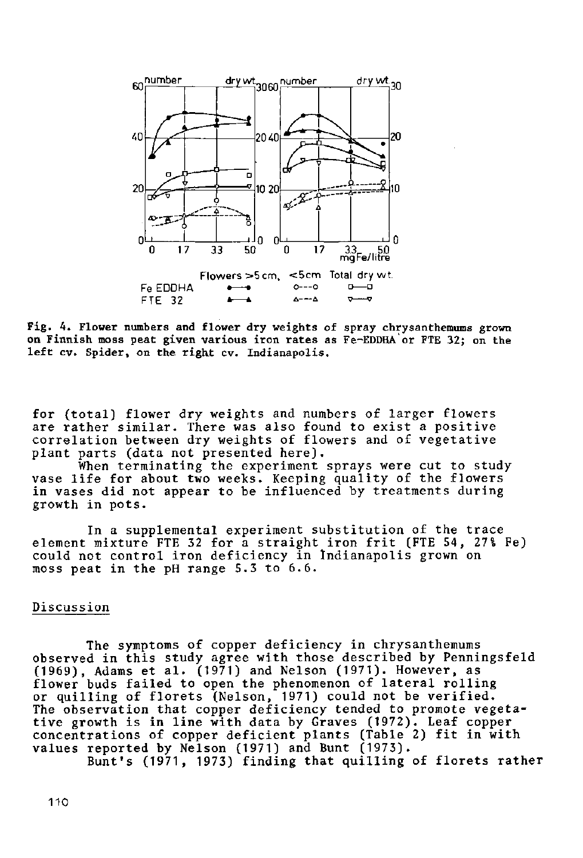

Fig. 4. Flower numbers and flower dry weights of spray chrysanthemums grown on Finnish moss peat given various iron rates as Fe-EDDHA or FTE 32; on the left cv. Spider, on the right cv. Indianapolis,

for (total) flower dry weights and numbers of larger flowers are rather similar. There was also found to exist a positive correlation between dry weights of flowers and of ve plant parts (data not presented h

When terminating the experiment sprays were cut to study vase life for about two weeks. Keeping quality of the flowers in vases did not appear to be influenced by treatments during growth in pots.

In a supplemental experiment substitution of the trace element mixture FTE 32 for a straight iron frit (FTE could not control iron deficiency in Indianapolis moss peat in the pH range 5.3 to 6.6.

# Discussion

The symptoms of  $\mathsf c$ observed in this study (1969), Adams et al. (1971) and Nelson (1971). However flower buds failed to open the phenomenon of lateral rol or quilling of florets The observation that cop tive growth is in line with data by Graves (1972). Leaf c concentrations of copper deficient plants (Table 2) fit i values reported by Nels er deficiency in chrysanthem e with those described by Penning son, 1971) could not be veri deficiency tended to promote veg 1971) and Bunt (197

Bunt's (1971, 1973) finding that quilling of florets r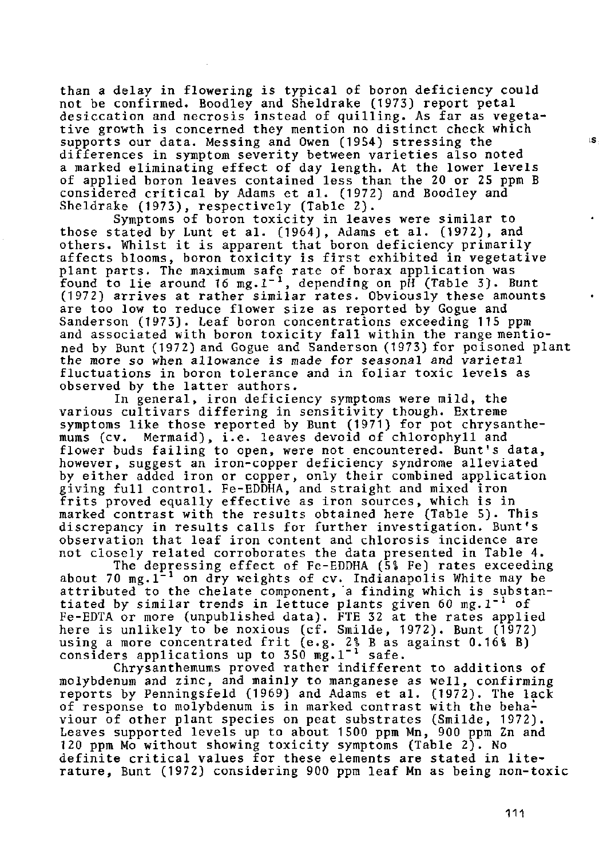than a delay in flowering is typical of boron deficiency could not be confirmed. Boodley and Sheldrake (1973) report petal desiccation and necrosis instead of quilling. As far as vegetative growth is concerned they mention no distinct check which supports our data. Messing and Owen (1954) stressing the differences in symptom severity between varieties also noted a marked eliminating effect of day length. At the lower levels of applied boron leaves contained less than the 20 or 25 ppm B considered critical by Adams et al. (1972) and Boodley and Sheldrake (1973), respectively (Table 2).

Symptoms of boron toxicity in leaves were similar to those stated by Lunt et al. (1964), Adams et al. (1972), and others. Whilst it is apparent that boron deficiency primarily affects blooms, boron toxicity is first exhibited in vegetative plant parts. The maximum safe rate of borax application was the maximum safe rate of borax application  $\frac{1}{3}$ . (1972) arrives at rather similar rates. Obviously these amounts are too low to reduce flower size as reported by Gogue and Sanderson (1973). Leaf boron concentrations exceeding 115 ppm and associated with boron toxicity fall within the range mentioned by Bunt (1972) and Gogue and Sanderson (1973) for poisoned plant the more so when allowance is made for seasonal and  $\frac{1}{2}$ ing more go when will want to make it. Seasonal and<br>fluctuations in boron tolerance and in foliar toxic observed by the latter authors.

In general, iron deficiency symptoms were mild, the various cultivars differing in sensitivity though. Extreme symptoms like those reported by Bunt (1971) for pot chrysanthemums (cv. Mermaid), i.e. leaves devoid of chlorophyll and flower buds failing to open, were not encountered. Bun however, suggest an iron-copper deficiency syndrome alle by either added iron or copper, only their combined application giving full control. Fe-EDDHA, and straight and mixed iron frits proved equally effective as iron sources, which is in marked contrast with the results obtained here (Table 5). This discrepancy in results calls for further investigation. Bunt's observation that leaf iron content and chlorosis incidence are not closely related corroborates the data presented in Table 4.

The depressing effect of Fe-EDDHA (5% Fe) rates exceeding about 70 mg.1<sup>-1</sup> on dry weights of cv. Indianapolis W attributed to the chelate component, a finding which is tiated by similar trends in lettuce plants given 60 Fe-EDTA or more (unpublished data). FTE 32 at the rat here is unlikely to be noxious (cf. Smilde, 1972). B using a more concentrated frit  $(e.g. 2\$  B as against  $(0.16\)$  B) considers applications up to  $350 \text{ mg.}1^{-1}$ 

Chrysanthemums proved rather indifferent to additions of molybdenum and zinc, and mainly to manganese as well,  $\epsilon$ reports by Penningsfeld (1969) and Adams et al. (1972) of response to molybdenum is in marked contrast with the behaviour of other plant species on peat substrates (Smilde, 1972). Leaves supported levels up to about 1500 ppm Mn, 900 ppm Zn and 120 ppm Mo without showing toxicity symptoms (Table 2). No definite critical values for these elements are stated in literature, Bunt (1972) considering 900 ppm leaf Mn as being non-toxic ıs.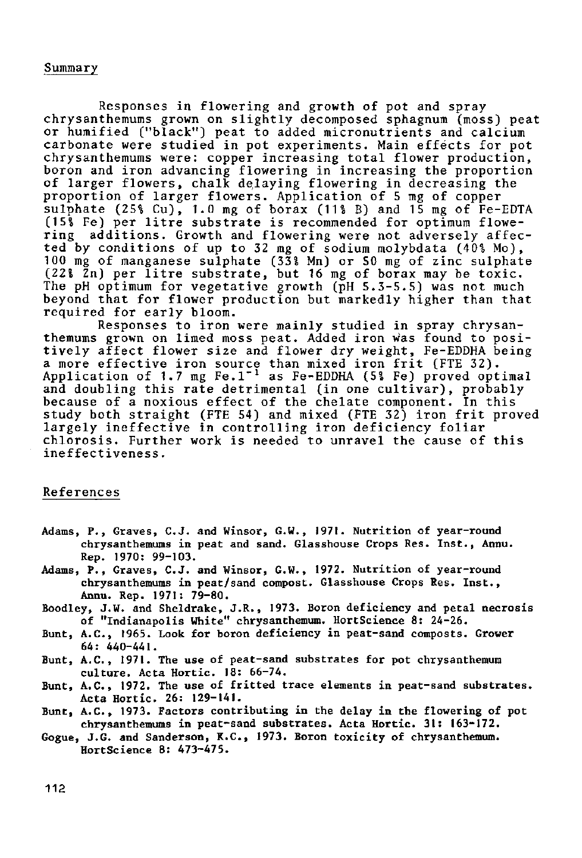#### Summary

Responses in flowering and growth of pot and spray chrysanthemums grown on slightly decomposed sphagnum (moss) peat or humified ("black") peat to added micronutrients and calcium carbonate were studied in pot experiments. Main effects for pot chrysanthemums were: copper increasing total flower production, boron and iron advancing flowering in increasing the propor of larger flowers, chalk delaying flowering in decreasing proportion of larger flowers. Application of 5 mg of copper sulphate  $(25\frac{6}{3})$ , 1.0 mg of borax  $(11\frac{6}{3})$  and 15 mg of F  $(15\$  Fe) per litre substrate is recommended for optimum fl ring additions. Growth and flowering were not adversely affected by conditions of up to 32 mg of sodium molybdata  $(40\$  Mo), 100 mg of manganese sulphate (33\$ Mn) or 50 mg of zinc sulphate (22% Zn) per litre substrate, but 16 mg of borax may be (52) In per fitte substruct, but to mg of botux may be to the pH optimum for vegetative growth (pH 5.3-5.5) was not beyond that for flower production but markedly higher than that required for early bloom.

Responses to iron were mainly studied in spray chry themums grown on limed moss peat. Added iron was found to tively affect flower size and flower dry weight, Fe-EDDHA being a more effective iron source than mixed iron frit (FTE 32)<br>Application of 1.7 mg Fe.1<sup>-1</sup> as Fe-EDDHA (5% Fe) proved op and doubling this rate detrimental (in one cultivar), probably because of a noxious effect of the chelate component. In this study both straight (FTE 54) and mixed (FTE 32) iron frit proved largely ineffective in controlling iron deficiency fol chlorosis. Further work is needed to unravel the cause of ineffectiveness.

## References

- Adams, P., Graves, C.J. and Winsor, G.W., 1971. Nutrition of year-round chrysanthemums in peat and sand. Glasshouse Crops Res. Inst. , Annu. Rep. 1970: 99-103.
- Adams, P., Graves, C.J. and Winsor, G.W., 1972. Nutrition of year-round chrysanthemums in peat/sand compost. Glasshouse Crops Res. Inst. , Annu. Rep. 1971: 79-80.
- Boodley, J.W. and Sheldrake, J.R., 1973. Boron deficiency and petal necrosis of "Indianapolis White" chrysanthemum. HortScience 8: 24-26.
- Bunt, A.C., 1965. Look for boron deficiency in peat-sand composts. Grower 64: 440-441.
- Bunt, A.C., 1971. The use of peat-sand substrates for pot chrysanthemum culture. Acta Hortic. 18: 66-74.
- Bunt, A.C., 1972. The use of fritted trace elements in peat-sand substrates. Acta Hortic. 26: 129-141.
- Bunt, A.C., 1973. Factors contributing in the delay in the flowering of pot chrysanthemums in peat-sand substrates. Acta Hortic. 31: 163-172.
- Gogue, J.G. and Sanderson, K.C., 1973. Boron toxicity of chrysanthemum. HortScience 8: 473-475.